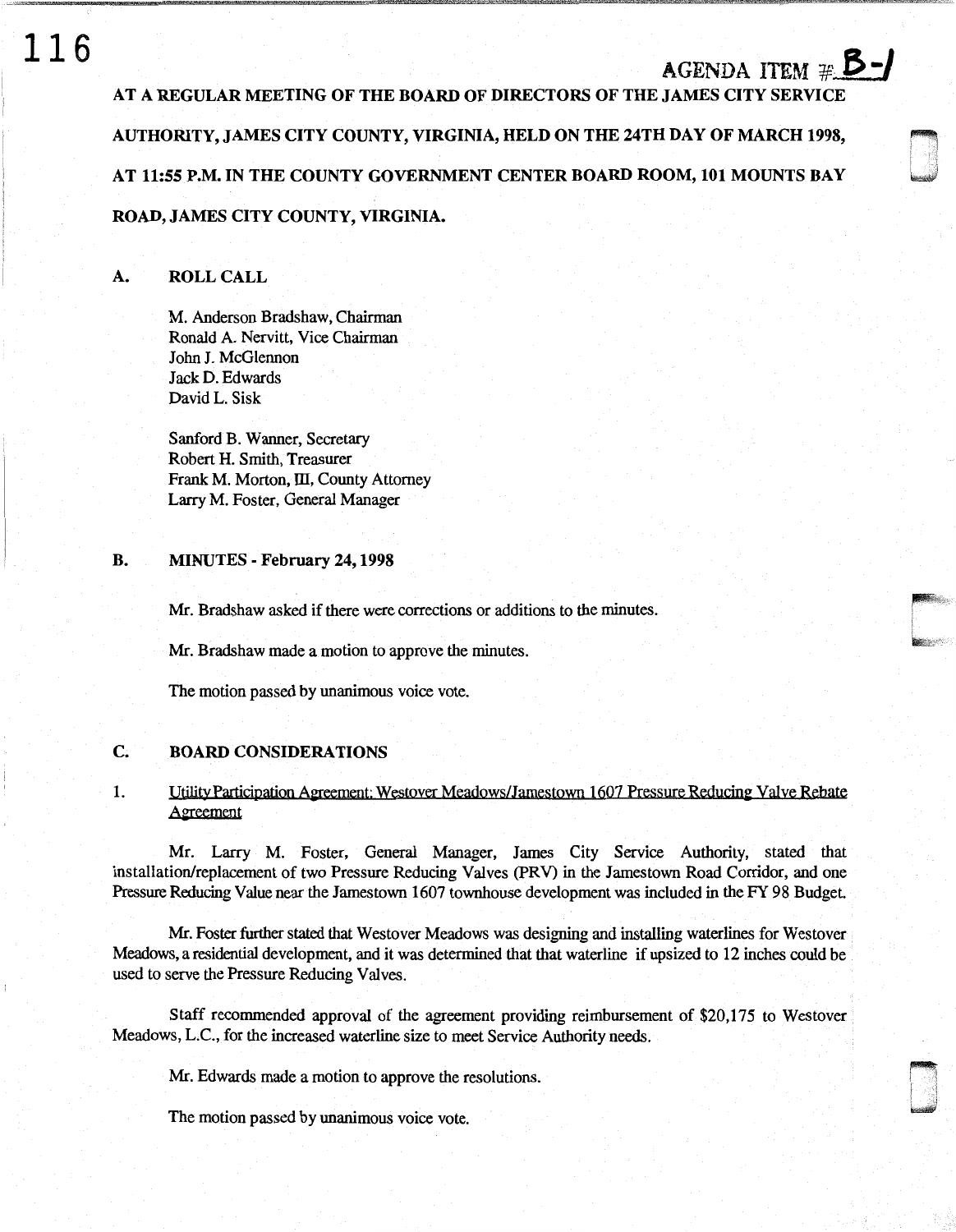# **116**

# AGENDA ITEM  $# 5$ -

r-:

 $\begin{bmatrix} 1 \\ 2 \end{bmatrix}$ 

AT A REGULAR MEETING OF THE BOARD OF DIRECTORS OF THE JAMES CITY SERVICE AUTHORITY, JAMES CITY COUNTY, VIRGINIA, HELD ON THE 24TH DAY OF MARCH 1998, AT 11:55 P.M. IN THE COUNTY GOVERNMENT CENTER BOARD ROOM, 101 MOUNTS BAY ROAD, JAMES CITY COUNTY, VIRGINIA.

# A. ROLL CALL

M. Anderson Bradshaw, Chairman Ronald A. Nervitt, Vice Chairman John J. McGlennon JackD. Edwards David L. Sisk

Sanford B. Wanner, Secretary Robert H. Smith, Treasurer Frank M. Morton, III, County Attorney Larry M. Foster, General Manager

## B. MINUTES - February 24, 1998

Mr. Bradshaw asked if there were corrections or additions to the minutes.

Mr. Bradshaw made a motion to approve the minutes.

The motion passed by unanimous voice vote.

# C. BOARD CONSIDERATIONS

# 1. Utility Participation Agreement: Westover Meadows/Jamestown 1607 Pressure Reducing Valve Rebate Aereement

Mr. Larry M. Foster, General Manager, James City Service Authority, stated that installation/replacement of two Pressure Reducing Valves (PRY) in the Jamestown Road Corridor, and one Pressure Reducing Value near the Jamestown 1607 townhouse development was included in the FY 98 Budget.

Mr. Foster further stated that Westover Meadows was designing and installing waterlines for Westover Meadows, a residential development, and it was determined that that waterline if upsized to 12 inches could be used to serve the Pressure Reducing Valves.

Staff recommended approval of the agreement providing reimbursement of \$20,175 to Westover Meadows, L.C., for the increased waterline size to meet Service Authority needs.

Mr. Edwards made a motion to approve the resolutions.

The motion passed by unanimous voice vote.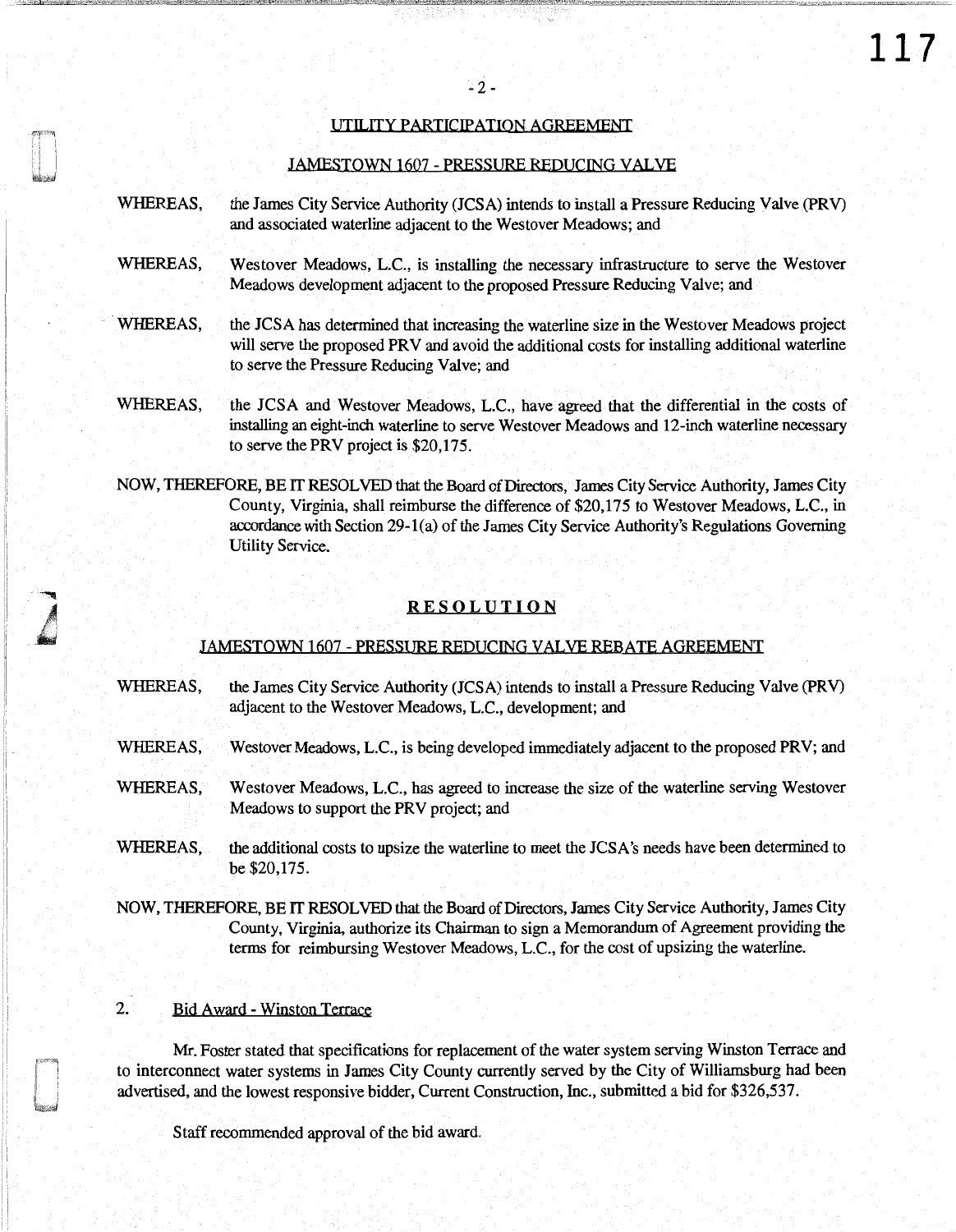## UTILITY PARTICIPATION AGREEMENT

#### JAMESTOWN 1607 - PRESSURE REDUCING VALVE

- WHEREAS, the James City Service Authority (JCSA) intends to install a Pressure Reducing Valve (PRV) and associated waterline adjacent to the Westover Meadows; and
- WHEREAS, Westover Meadows, L.C., is installing the necessary infrastructure to serve the Westover Meadows development adjacent to the proposed Pressure Reducing Valve; and
- WHEREAS, the JCSA has determined that increasing the waterline size in the Westover Meadows project will serve the proposed PRV and avoid the additional costs for installing additional waterline to serve the Pressure Reducing Valve; and
- WHEREAS, the JCSA and Westover Meadows, L.C., have agreed that the differential in the costs of installing an eight-inch waterline to serve Westover Meadows and 12-inch waterline necessary to serve the PRV project is \$20,175.
- NOW, THEREFORE, BE IT RESOLVED that the Board of Directors, James City Service Authority, James City County, Virginia, shall reimburse the difference of \$20,175 to Westover Meadows, L.C., in accordance with Section 29-1 (a) of the James City Service Authority's Regulations Governing Utility Service.

#### RESOLUTION

#### JAMESTOWN 1607 - PRESSURE REDUCING VALVE REBATE AGREEMENT

- WHEREAS, the James City Service Authority (JCSA) intends to install a Pressure Reducing Valve (PRV) adjacent to the Westover Meadows, L.C., development; and
- WHEREAS, Westover Meadows, L.C., is being developed immediately adjacent to the proposed PRV; and
- WHEREAS, Westover Meadows, L.C., has agreed to increase the size of the waterline serving Westover Meadows to support the PRV project; and
- WHEREAS, the additional costs to upsize the waterline to meet the JCSA's needs have been determined to be\$20,175.
- NOW, THEREFORE, BE IT RESOLVED that the Board of Directors, James City Service Authority, James City County, Virginia, authorize its Chairman to sign a Memorandum of Agreement providing the terms for reimbursing Westover Meadows, L.C., for the cost of upsizing the waterline.

#### 2. Bid Award - Winston Terrace

:i

Mr. Foster stated that specifications for replacement of the water system serving Winston Terrace and to interconnect water systems in James City County currently served by the City of Williamsburg had been advertised, and the lowest responsive bidder, Current Construction, Inc., submitted a bid for \$326,537.

Staff recommended approval of the bid award.